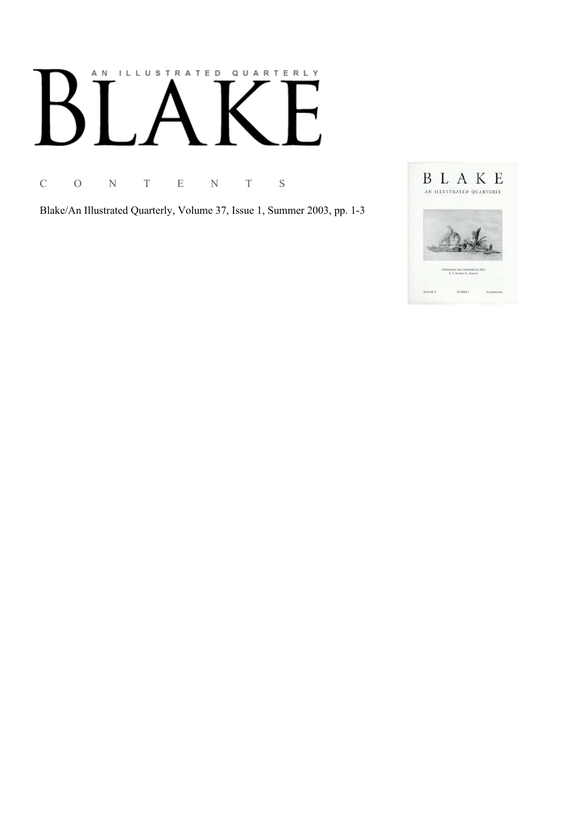# AN ILLUSTRATED QUARTERLY

C O N T E N T S

Blake/An Illustrated Quarterly, Volume 37, Issue 1, Summer 2003, pp. 1-3

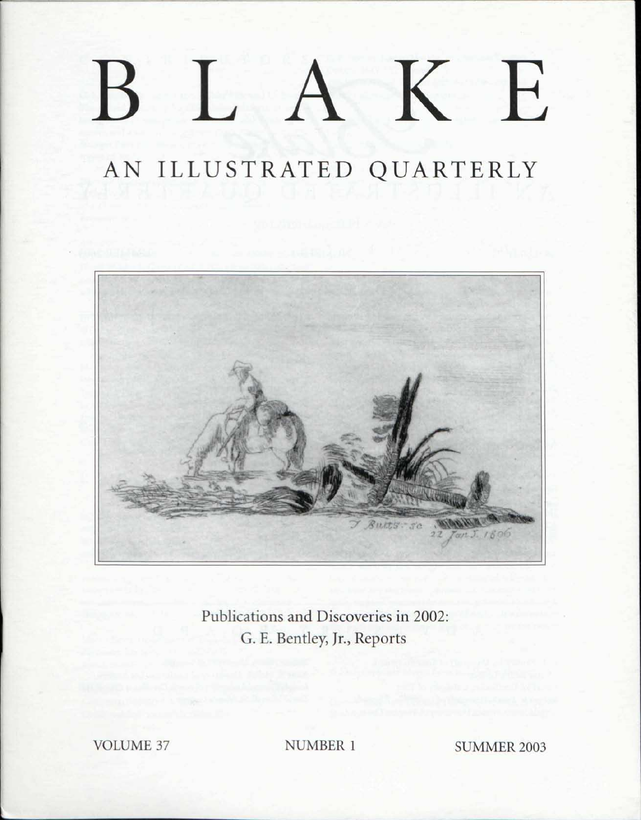### K  $\prod_{i=1}^n$ E  $\mathsf B$

## AN ILLUSTRATED QUARTERLY



Publications and Discoveries in 2002: G. E. Bentley, Jr., Reports

VOLUME 37 NUMBER 1 SUMMER 2003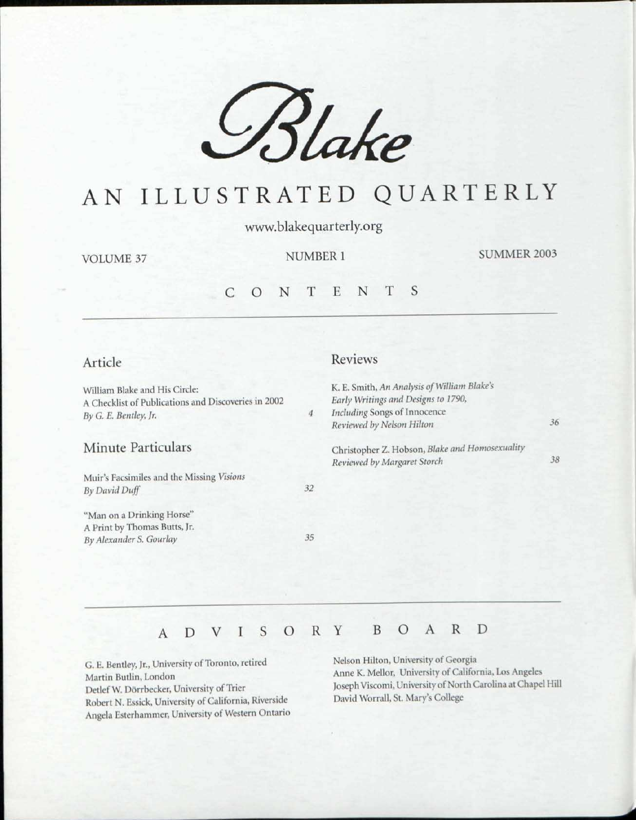

## AN ILLUSTRATED QUARTERLY

www.blakequarterly.org

VOLUME 37

NUMBER 1

SUMMER 2003

#### CONTENT S

#### Article

Reviews

| William Blake and His Circle:<br>A Checklist of Publications and Discoveries in 2002<br>By G. E. Bentley, Jr. | 4  | K. E. Smith, An Analysis of William Blake's<br>Early Writings and Designs to 1790,<br>Including Songs of Innocence<br>Reviewed by Nelson Hilton | 36 |
|---------------------------------------------------------------------------------------------------------------|----|-------------------------------------------------------------------------------------------------------------------------------------------------|----|
| Minute Particulars                                                                                            |    | Christopher Z. Hobson, Blake and Homosexuality<br>Reviewed by Margaret Storch                                                                   | 38 |
| Muir's Facsimiles and the Missing Visions<br>By David Duff                                                    | 32 |                                                                                                                                                 |    |
| "Man on a Drinking Horse"<br>A Print by Thomas Butts, Jr.<br>By Alexander S. Gourlay                          | 35 |                                                                                                                                                 |    |
|                                                                                                               |    |                                                                                                                                                 |    |

#### ADVISOR Y BOAR D

G. E. Bentley, Jr., University of Toronto, retired Martin Butlin, London Detlef W. Dorrbecker, University of Trier Robert N. Essick, University of California, Riverside Angela Esterhammer, University of Western Ontario Nelson Hilton, University of Georgia Anne K. Mellor, University of California, Los Angeles Joseph Viscomi, University of North Carolina at Chapel Hill David Worrall, St. Mary's College